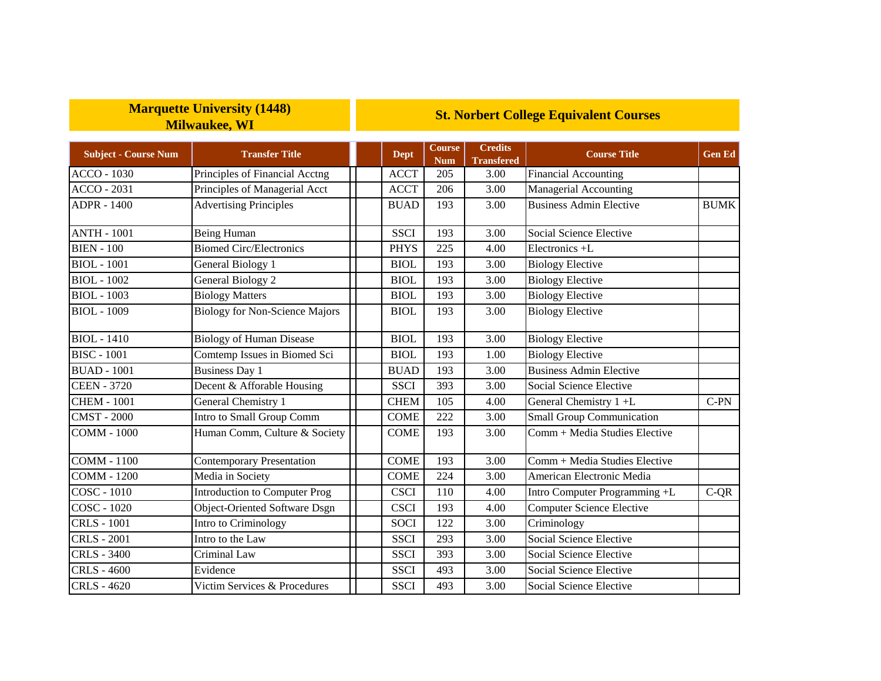## **Marquette University (1448) Milwaukee, WI**

## **St. Norbert College Equivalent Courses**

| <b>Subject - Course Num</b> | <b>Transfer Title</b>                 | <b>Dept</b> | <b>Course</b><br><b>Num</b> | <b>Credits</b><br><b>Transfered</b> | <b>Course Title</b>              | <b>Gen Ed</b> |
|-----------------------------|---------------------------------------|-------------|-----------------------------|-------------------------------------|----------------------------------|---------------|
| <b>ACCO - 1030</b>          | Principles of Financial Acctng        | <b>ACCT</b> | 205                         | 3.00                                | <b>Financial Accounting</b>      |               |
| <b>ACCO - 2031</b>          | Principles of Managerial Acct         | <b>ACCT</b> | 206                         | 3.00                                | <b>Managerial Accounting</b>     |               |
| <b>ADPR - 1400</b>          | <b>Advertising Principles</b>         | <b>BUAD</b> | 193                         | 3.00                                | <b>Business Admin Elective</b>   | <b>BUMK</b>   |
| <b>ANTH - 1001</b>          | Being Human                           | <b>SSCI</b> | 193                         | 3.00                                | Social Science Elective          |               |
| <b>BIEN - 100</b>           | <b>Biomed Circ/Electronics</b>        | <b>PHYS</b> | 225                         | 4.00                                | Electronics +L                   |               |
| <b>BIOL</b> - 1001          | General Biology 1                     | <b>BIOL</b> | 193                         | 3.00                                | <b>Biology Elective</b>          |               |
| <b>BIOL</b> - 1002          | General Biology 2                     | <b>BIOL</b> | 193                         | 3.00                                | <b>Biology Elective</b>          |               |
| <b>BIOL</b> - 1003          | <b>Biology Matters</b>                | <b>BIOL</b> | 193                         | 3.00                                | <b>Biology Elective</b>          |               |
| <b>BIOL</b> - 1009          | <b>Biology for Non-Science Majors</b> | <b>BIOL</b> | 193                         | 3.00                                | <b>Biology Elective</b>          |               |
| <b>BIOL</b> - 1410          | <b>Biology of Human Disease</b>       | <b>BIOL</b> | 193                         | 3.00                                | <b>Biology Elective</b>          |               |
| <b>BISC - 1001</b>          | Comtemp Issues in Biomed Sci          | <b>BIOL</b> | 193                         | 1.00                                | <b>Biology Elective</b>          |               |
| <b>BUAD - 1001</b>          | <b>Business Day 1</b>                 | <b>BUAD</b> | 193                         | 3.00                                | <b>Business Admin Elective</b>   |               |
| <b>CEEN - 3720</b>          | Decent & Afforable Housing            | <b>SSCI</b> | 393                         | 3.00                                | Social Science Elective          |               |
| <b>CHEM - 1001</b>          | General Chemistry 1                   | <b>CHEM</b> | 105                         | 4.00                                | General Chemistry 1+L            | $C-PN$        |
| <b>CMST - 2000</b>          | Intro to Small Group Comm             | <b>COME</b> | 222                         | 3.00                                | <b>Small Group Communication</b> |               |
| <b>COMM - 1000</b>          | Human Comm, Culture & Society         | <b>COME</b> | 193                         | 3.00                                | Comm + Media Studies Elective    |               |
| <b>COMM - 1100</b>          | <b>Contemporary Presentation</b>      | <b>COME</b> | 193                         | 3.00                                | Comm + Media Studies Elective    |               |
| <b>COMM - 1200</b>          | Media in Society                      | <b>COME</b> | 224                         | 3.00                                | American Electronic Media        |               |
| <b>COSC - 1010</b>          | Introduction to Computer Prog         | <b>CSCI</b> | 110                         | 4.00                                | Intro Computer Programming +L    | $C-QR$        |
| COSC - 1020                 | <b>Object-Oriented Software Dsgn</b>  | <b>CSCI</b> | 193                         | 4.00                                | <b>Computer Science Elective</b> |               |
| <b>CRLS</b> - 1001          | Intro to Criminology                  | <b>SOCI</b> | 122                         | 3.00                                | Criminology                      |               |
| <b>CRLS - 2001</b>          | Intro to the Law                      | <b>SSCI</b> | 293                         | 3.00                                | <b>Social Science Elective</b>   |               |
| <b>CRLS - 3400</b>          | Criminal Law                          | <b>SSCI</b> | 393                         | 3.00                                | Social Science Elective          |               |
| <b>CRLS - 4600</b>          | Evidence                              | <b>SSCI</b> | 493                         | 3.00                                | Social Science Elective          |               |
| <b>CRLS-4620</b>            | Victim Services & Procedures          | <b>SSCI</b> | 493                         | 3.00                                | Social Science Elective          |               |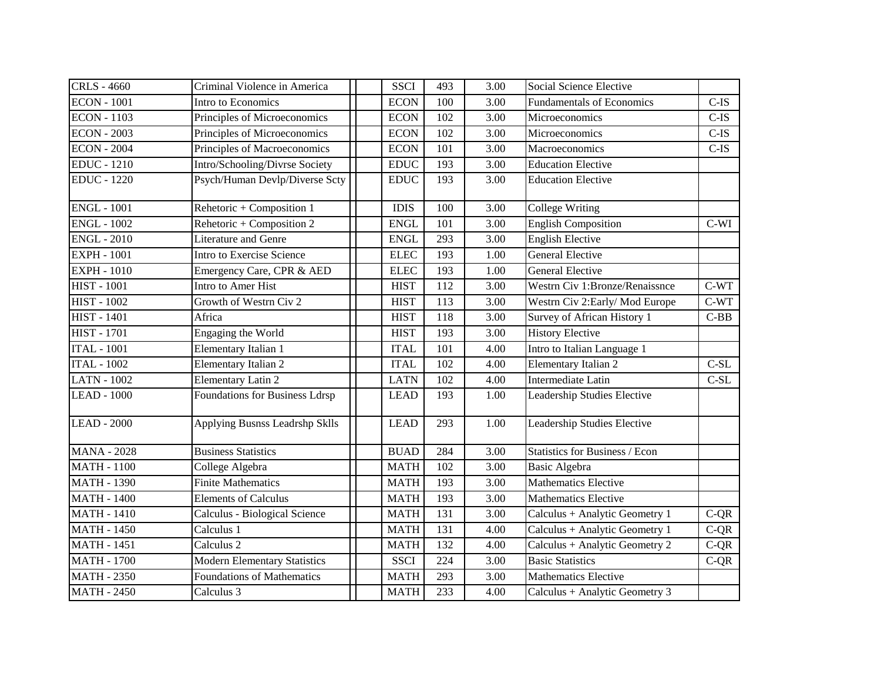| <b>CRLS - 4660</b> | Criminal Violence in America          | <b>SSCI</b> | 493              | 3.00              | Social Science Elective          |         |
|--------------------|---------------------------------------|-------------|------------------|-------------------|----------------------------------|---------|
| <b>ECON</b> - 1001 | Intro to Economics                    | <b>ECON</b> | 100              | 3.00              | <b>Fundamentals of Economics</b> | $C$ -IS |
| <b>ECON - 1103</b> | Principles of Microeconomics          | <b>ECON</b> | 102              | 3.00              | Microeconomics                   | $C$ -IS |
| <b>ECON - 2003</b> | Principles of Microeconomics          | <b>ECON</b> | 102              | 3.00              | Microeconomics                   | $C$ -IS |
| <b>ECON - 2004</b> | Principles of Macroeconomics          | <b>ECON</b> | 101              | 3.00              | Macroeconomics                   | $C-IS$  |
| <b>EDUC</b> - 1210 | Intro/Schooling/Divrse Society        | <b>EDUC</b> | 193              | 3.00              | <b>Education Elective</b>        |         |
| <b>EDUC</b> - 1220 | Psych/Human Devlp/Diverse Scty        | <b>EDUC</b> | 193              | 3.00              | <b>Education Elective</b>        |         |
| <b>ENGL - 1001</b> | Rehetoric + Composition 1             | <b>IDIS</b> | 100              | 3.00              | <b>College Writing</b>           |         |
| <b>ENGL - 1002</b> | Rehetoric + Composition 2             | <b>ENGL</b> | 101              | $\overline{3.00}$ | <b>English Composition</b>       | $C-WI$  |
| <b>ENGL - 2010</b> | <b>Literature and Genre</b>           | <b>ENGL</b> | 293              | 3.00              | <b>English Elective</b>          |         |
| <b>EXPH - 1001</b> | Intro to Exercise Science             | <b>ELEC</b> | 193              | 1.00              | <b>General Elective</b>          |         |
| <b>EXPH - 1010</b> | Emergency Care, CPR & AED             | <b>ELEC</b> | 193              | 1.00              | <b>General Elective</b>          |         |
| <b>HIST - 1001</b> | Intro to Amer Hist                    | <b>HIST</b> | 112              | 3.00              | Westrn Civ 1:Bronze/Renaissnce   | $C-WT$  |
| <b>HIST - 1002</b> | Growth of Westrn Civ 2                | <b>HIST</b> | 113              | 3.00              | Westrn Civ 2: Early/Mod Europe   | $C-WT$  |
| <b>HIST - 1401</b> | Africa                                | <b>HIST</b> | 118              | 3.00              | Survey of African History 1      | $C-BB$  |
| <b>HIST - 1701</b> | Engaging the World                    | <b>HIST</b> | 193              | 3.00              | <b>History Elective</b>          |         |
| <b>ITAL - 1001</b> | Elementary Italian 1                  | <b>ITAL</b> | 101              | 4.00              | Intro to Italian Language 1      |         |
| <b>ITAL - 1002</b> | Elementary Italian 2                  | <b>ITAL</b> | 102              | 4.00              | <b>Elementary Italian 2</b>      | $C-SL$  |
| <b>LATN - 1002</b> | <b>Elementary Latin 2</b>             | <b>LATN</b> | 102              | 4.00              | Intermediate Latin               | $C-SL$  |
| <b>LEAD - 1000</b> | <b>Foundations for Business Ldrsp</b> | <b>LEAD</b> | 193              | 1.00              | Leadership Studies Elective      |         |
| <b>LEAD - 2000</b> | Applying Busnss Leadrshp Sklls        | <b>LEAD</b> | 293              | 1.00              | Leadership Studies Elective      |         |
| <b>MANA - 2028</b> | <b>Business Statistics</b>            | <b>BUAD</b> | 284              | 3.00              | Statistics for Business / Econ   |         |
| <b>MATH - 1100</b> | College Algebra                       | <b>MATH</b> | 102              | 3.00              | <b>Basic Algebra</b>             |         |
| <b>MATH - 1390</b> | <b>Finite Mathematics</b>             | <b>MATH</b> | 193              | 3.00              | <b>Mathematics Elective</b>      |         |
| <b>MATH - 1400</b> | <b>Elements of Calculus</b>           | <b>MATH</b> | 193              | 3.00              | <b>Mathematics Elective</b>      |         |
| <b>MATH - 1410</b> | Calculus - Biological Science         | <b>MATH</b> | 131              | 3.00              | Calculus + Analytic Geometry 1   | $C-QR$  |
| <b>MATH - 1450</b> | Calculus 1                            | <b>MATH</b> | 131              | 4.00              | Calculus + Analytic Geometry 1   | $C-QR$  |
| <b>MATH - 1451</b> | Calculus <sub>2</sub>                 | <b>MATH</b> | $\overline{132}$ | 4.00              | Calculus + Analytic Geometry 2   | $C-QR$  |
| <b>MATH - 1700</b> | <b>Modern Elementary Statistics</b>   | <b>SSCI</b> | 224              | 3.00              | <b>Basic Statistics</b>          | $C-QR$  |
| <b>MATH - 2350</b> | <b>Foundations of Mathematics</b>     | <b>MATH</b> | 293              | 3.00              | <b>Mathematics Elective</b>      |         |
| <b>MATH - 2450</b> | Calculus 3                            | <b>MATH</b> | 233              | 4.00              | Calculus + Analytic Geometry 3   |         |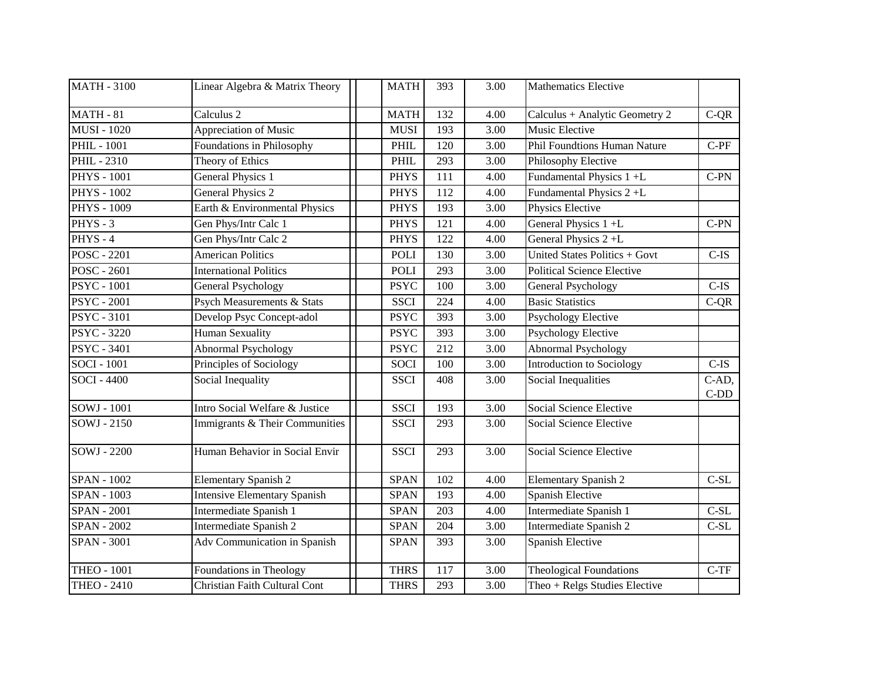| <b>MATH - 3100</b> | Linear Algebra & Matrix Theory      | <b>MATH</b> | 393 | 3.00              | <b>Mathematics Elective</b>                       |                 |
|--------------------|-------------------------------------|-------------|-----|-------------------|---------------------------------------------------|-----------------|
| <b>MATH - 81</b>   | Calculus <sub>2</sub>               | <b>MATH</b> | 132 | 4.00              | Calculus + Analytic Geometry 2                    | $C-QR$          |
| <b>MUSI - 1020</b> | Appreciation of Music               | <b>MUSI</b> | 193 | 3.00              | Music Elective                                    |                 |
| <b>PHIL - 1001</b> | Foundations in Philosophy           | <b>PHIL</b> | 120 | 3.00              | <b>Phil Foundtions Human Nature</b>               | $C-PF$          |
| <b>PHIL - 2310</b> | Theory of Ethics                    | <b>PHIL</b> | 293 | 3.00              | Philosophy Elective                               |                 |
| <b>PHYS - 1001</b> | General Physics 1                   | <b>PHYS</b> | 111 | 4.00              | Fundamental Physics 1 +L                          | $C-PN$          |
| <b>PHYS - 1002</b> | <b>General Physics 2</b>            | <b>PHYS</b> | 112 | 4.00              | Fundamental Physics 2+L                           |                 |
| <b>PHYS - 1009</b> | Earth & Environmental Physics       | <b>PHYS</b> | 193 | 3.00              | Physics Elective                                  |                 |
| $PHYS - 3$         | Gen Phys/Intr Calc 1                | <b>PHYS</b> | 121 | 4.00              | General Physics $1 + L$                           | $C-PN$          |
| PHYS-4             | Gen Phys/Intr Calc 2                | <b>PHYS</b> | 122 | 4.00              | General Physics 2+L                               |                 |
| <b>POSC - 2201</b> | <b>American Politics</b>            | <b>POLI</b> | 130 | $\overline{3.00}$ | United States Politics + Govt                     | $C-IS$          |
| POSC - 2601        | <b>International Politics</b>       | <b>POLI</b> | 293 | 3.00              | <b>Political Science Elective</b>                 |                 |
| <b>PSYC</b> - 1001 | <b>General Psychology</b>           | <b>PSYC</b> | 100 | 3.00              | <b>General Psychology</b>                         | $C-IS$          |
| <b>PSYC</b> - 2001 | Psych Measurements & Stats          | <b>SSCI</b> | 224 | 4.00              | <b>Basic Statistics</b>                           | $C-QR$          |
| <b>PSYC - 3101</b> | Develop Psyc Concept-adol           | <b>PSYC</b> | 393 | 3.00              | <b>Psychology Elective</b>                        |                 |
| <b>PSYC - 3220</b> | <b>Human Sexuality</b>              | <b>PSYC</b> | 393 | 3.00              | <b>Psychology Elective</b>                        |                 |
| <b>PSYC - 3401</b> | Abnormal Psychology                 | <b>PSYC</b> | 212 | 3.00              | <b>Abnormal Psychology</b>                        |                 |
| $SOCI - 1001$      | Principles of Sociology             | <b>SOCI</b> | 100 | 3.00              | <b>Introduction to Sociology</b>                  | $C$ -IS         |
| <b>SOCI - 4400</b> | Social Inequality                   | <b>SSCI</b> | 408 | 3.00              | Social Inequalities                               | C-AD,<br>$C-DD$ |
| $SOWJ - 1001$      | Intro Social Welfare & Justice      | <b>SSCI</b> | 193 | 3.00              | <b>Social Science Elective</b>                    |                 |
| SOWJ - 2150        | Immigrants & Their Communities      | <b>SSCI</b> | 293 | 3.00              | Social Science Elective                           |                 |
| SOWJ - 2200        | Human Behavior in Social Envir      | <b>SSCI</b> | 293 | 3.00              | Social Science Elective                           |                 |
| <b>SPAN - 1002</b> | <b>Elementary Spanish 2</b>         | <b>SPAN</b> | 102 | 4.00              | <b>Elementary Spanish 2</b>                       | $C-SL$          |
| <b>SPAN - 1003</b> | <b>Intensive Elementary Spanish</b> | <b>SPAN</b> | 193 | 4.00              | Spanish Elective                                  |                 |
| <b>SPAN - 2001</b> | Intermediate Spanish 1              | <b>SPAN</b> | 203 | 4.00              | Intermediate Spanish 1                            | $C-SL$          |
| <b>SPAN - 2002</b> | Intermediate Spanish 2              | <b>SPAN</b> | 204 | 3.00              | Intermediate Spanish 2                            | $\mbox{C-SL}$   |
| <b>SPAN - 3001</b> | Adv Communication in Spanish        | <b>SPAN</b> | 393 | 3.00              | Spanish Elective                                  |                 |
| <b>THEO - 1001</b> | Foundations in Theology             | <b>THRS</b> | 117 | 3.00              | <b>Theological Foundations</b>                    | $C-TF$          |
| <b>THEO - 2410</b> | Christian Faith Cultural Cont       | <b>THRS</b> | 293 | 3.00              | $\overline{\text{Theo}}$ + Relgs Studies Elective |                 |